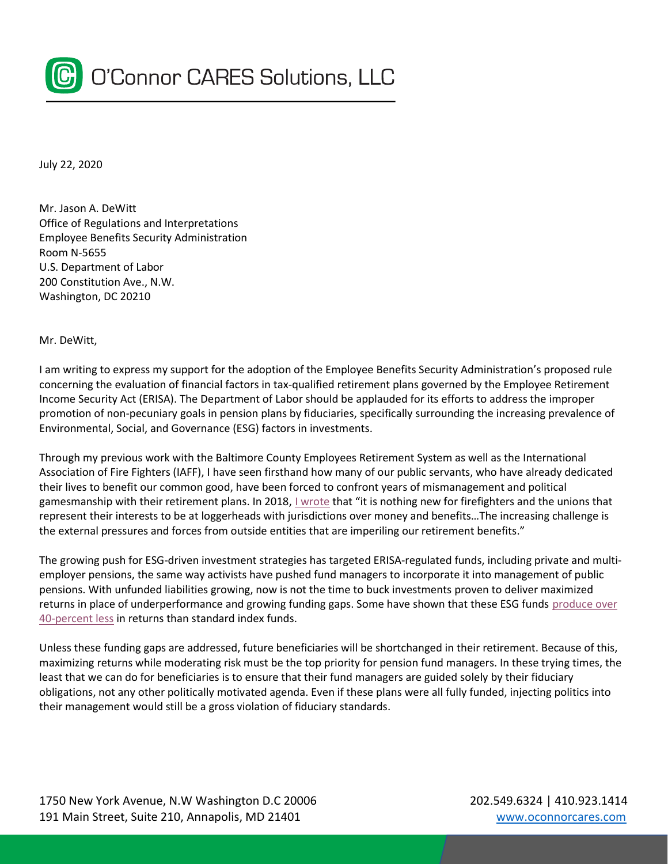

July 22, 2020

Mr. Jason A. DeWitt Office of Regulations and Interpretations Employee Benefits Security Administration Room N-5655 U.S. Department of Labor 200 Constitution Ave., N.W. Washington, DC 20210

Mr. DeWitt,

I am writing to express my support for the adoption of the Employee Benefits Security Administration's proposed rule concerning the evaluation of financial factors in tax-qualified retirement plans governed by the Employee Retirement Income Security Act (ERISA). The Department of Labor should be applauded for its efforts to address the improper promotion of non-pecuniary goals in pension plans by fiduciaries, specifically surrounding the increasing prevalence of Environmental, Social, and Governance (ESG) factors in investments.

Through my previous work with the Baltimore County Employees Retirement System as well as the International Association of Fire Fighters (IAFF), I have seen firsthand how many of our public servants, who have already dedicated their lives to benefit our common good, have been forced to confront years of mismanagement and political gamesmanship with their retirement plans. In 2018, <u>I wrote</u> that "it is nothing new for firefighters and the unions that represent their interests to be at loggerheads with jurisdictions over money and benefits…The increasing challenge is the external pressures and forces from outside entities that are imperiling our retirement benefits."

The growing push for ESG-driven investment strategies has targeted ERISA-regulated funds, including private and multiemployer pensions, the same way activists have pushed fund managers to incorporate it into management of public pensions. With unfunded liabilities growing, now is not the time to buck investments proven to deliver maximized returns in place of underperformance and growing funding gaps. Some have shown that these ESG funds produce over 40-percent less in returns than standard index funds.

Unless these funding gaps are addressed, future beneficiaries will be shortchanged in their retirement. Because of this, maximizing returns while moderating risk must be the top priority for pension fund managers. In these trying times, the least that we can do for beneficiaries is to ensure that their fund managers are guided solely by their fiduciary obligations, not any other politically motivated agenda. Even if these plans were all fully funded, injecting politics into their management would still be a gross violation of fiduciary standards.